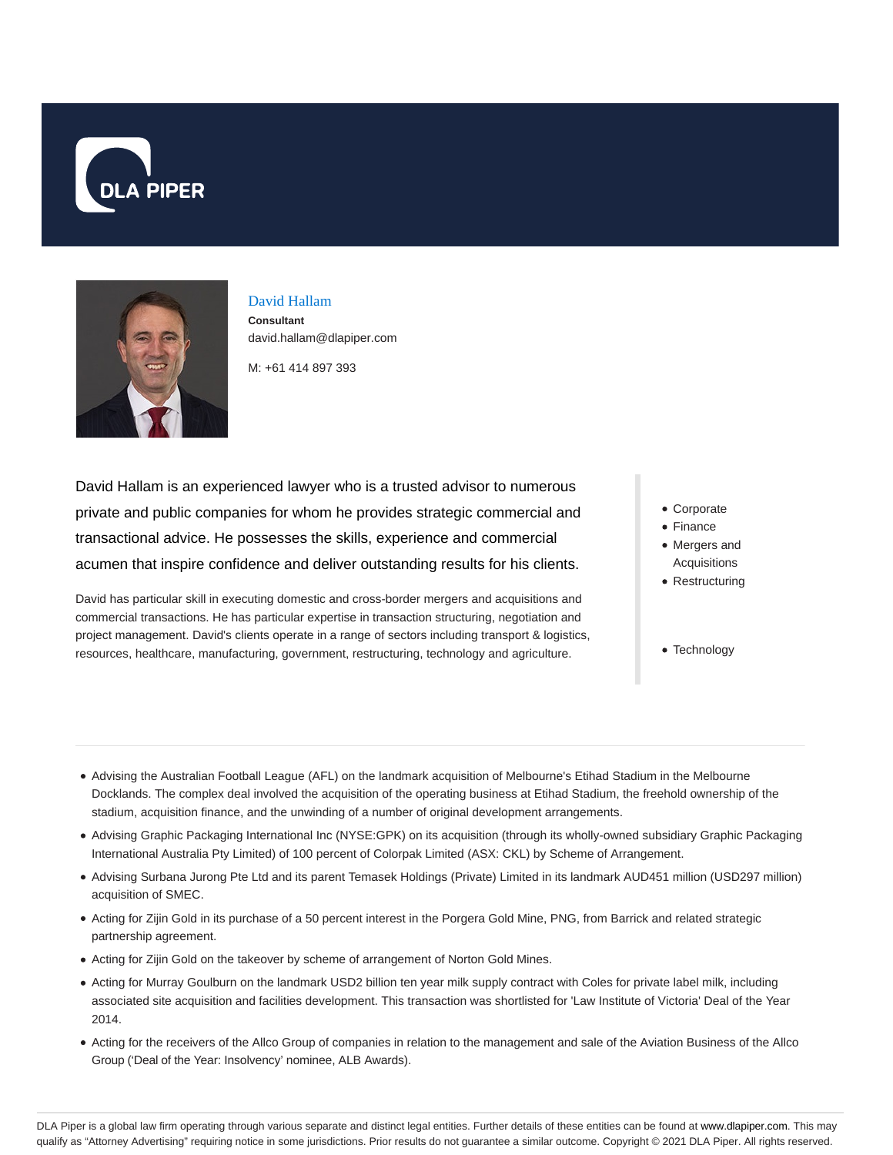



#### David Hallam **Consultant**

david.hallam@dlapiper.com

M: +61 414 897 393

David Hallam is an experienced lawyer who is a trusted advisor to numerous private and public companies for whom he provides strategic commercial and transactional advice. He possesses the skills, experience and commercial acumen that inspire confidence and deliver outstanding results for his clients.

David has particular skill in executing domestic and cross-border mergers and acquisitions and commercial transactions. He has particular expertise in transaction structuring, negotiation and project management. David's clients operate in a range of sectors including transport & logistics, resources, healthcare, manufacturing, government, restructuring, technology and agriculture.

- Corporate
- Finance
- Mergers and Acquisitions
- Restructuring
- Technology
- Advising the Australian Football League (AFL) on the landmark acquisition of Melbourne's Etihad Stadium in the Melbourne Docklands. The complex deal involved the acquisition of the operating business at Etihad Stadium, the freehold ownership of the stadium, acquisition finance, and the unwinding of a number of original development arrangements.
- Advising Graphic Packaging International Inc (NYSE:GPK) on its acquisition (through its wholly-owned subsidiary Graphic Packaging International Australia Pty Limited) of 100 percent of Colorpak Limited (ASX: CKL) by Scheme of Arrangement.
- Advising Surbana Jurong Pte Ltd and its parent Temasek Holdings (Private) Limited in its landmark AUD451 million (USD297 million) acquisition of SMEC.
- Acting for Zijin Gold in its purchase of a 50 percent interest in the Porgera Gold Mine, PNG, from Barrick and related strategic partnership agreement.
- Acting for Zijin Gold on the takeover by scheme of arrangement of Norton Gold Mines.
- Acting for Murray Goulburn on the landmark USD2 billion ten year milk supply contract with Coles for private label milk, including associated site acquisition and facilities development. This transaction was shortlisted for 'Law Institute of Victoria' Deal of the Year 2014.
- Acting for the receivers of the Allco Group of companies in relation to the management and sale of the Aviation Business of the Allco Group ('Deal of the Year: Insolvency' nominee, ALB Awards).